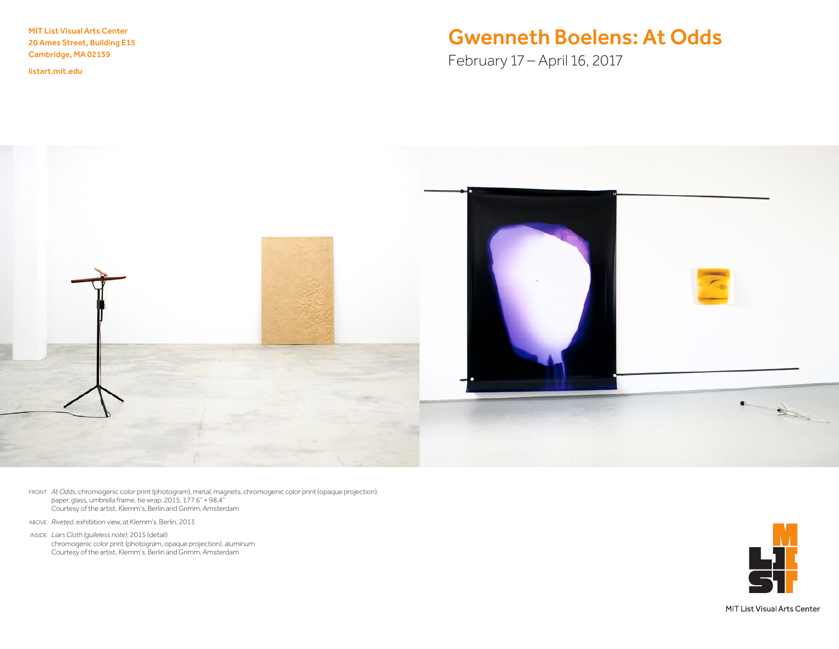MIT List Visual Arts Center 20 Ames Street, Building E15 Cambridge, MA 02139

<listart.mit.edu>

# Gwenneth Boelens: At Odds

February 17 – April 16, 2017



FRONT *At Odds*, chromogenic color print (photogram), metal, magnets, chromogenic color print (opaque projection), paper, glass, umbrella frame, tie wrap, 2015, 177.6" × 98.4" Courtesy of the artist, Klemm's, Berlin and Grimm, Amsterdam

ABOVE *Riveted*, exhibition view, at Klemm's, Berlin, 2013

INSIDE *Liars Cloth (guileless note)*, 2015 (detail) chromogenic color print (photogram, opaque projection), aluminum Courtesy of the artist, Klemm's, Berlin and Grimm, Amsterdam